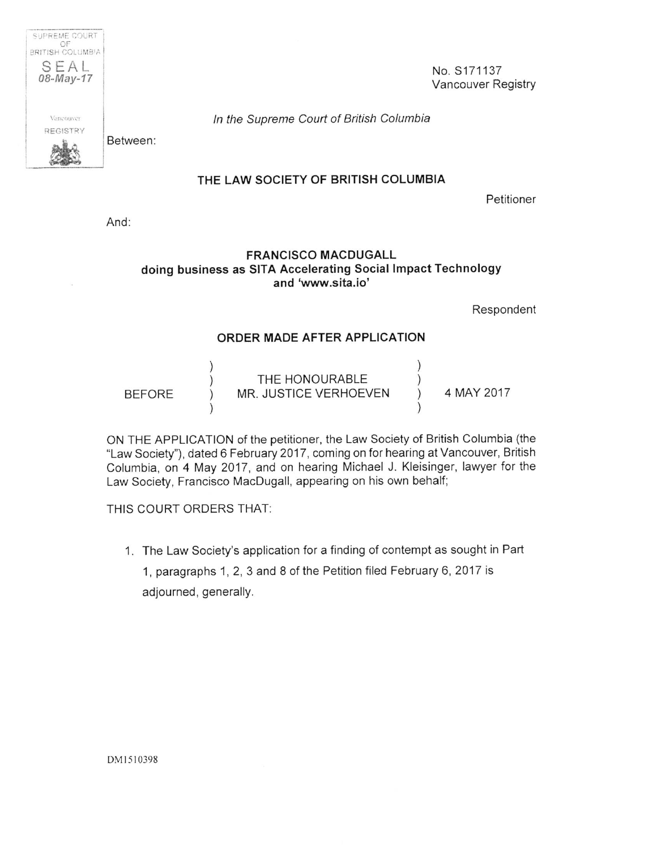**OF I 3RIT:SH COLUMB'A** I  $SEAL$ <br>  $08-May-17$  No. S171137 REGISTRY

SUPREME COURT

Vancouver Registry *08-May-17* 

mcouwi *In the Supreme Court of British Columbia* 

Between:

## **THE LAW SOCIETY OF BRITISH COLUMBIA**

Petitioner

And:

## **FRANCISCO MACDUGALL doing business as SITA Accelerating Social Impact Technology and 'www.sita.io'**

Respondent

## **ORDER MADE AFTER APPLICATION**

| <b>BEFORE</b> | THE HONOURABLE<br>MR. JUSTICE VERHOEVEN | 4 MAY 2017 |
|---------------|-----------------------------------------|------------|
|               |                                         |            |

ON THE APPLICATION of the petitioner, the Law Society of British Columbia (the "Law Society"), dated 6 February 2017, coming on for hearing at Vancouver, British Columbia, on 4 May 2017, and on hearing Michael J. Kleisinger, lawyer for the Law Society, Francisco MacDugall, appearing on his own behalf;

THIS COURT ORDERS THAT:

1. The Law Society's application for a finding of contempt as sought in Part 1, paragraphs 1,2,3 and 8 of the Petition filed February 6, 2017 is adjourned, generally.

DM 1510398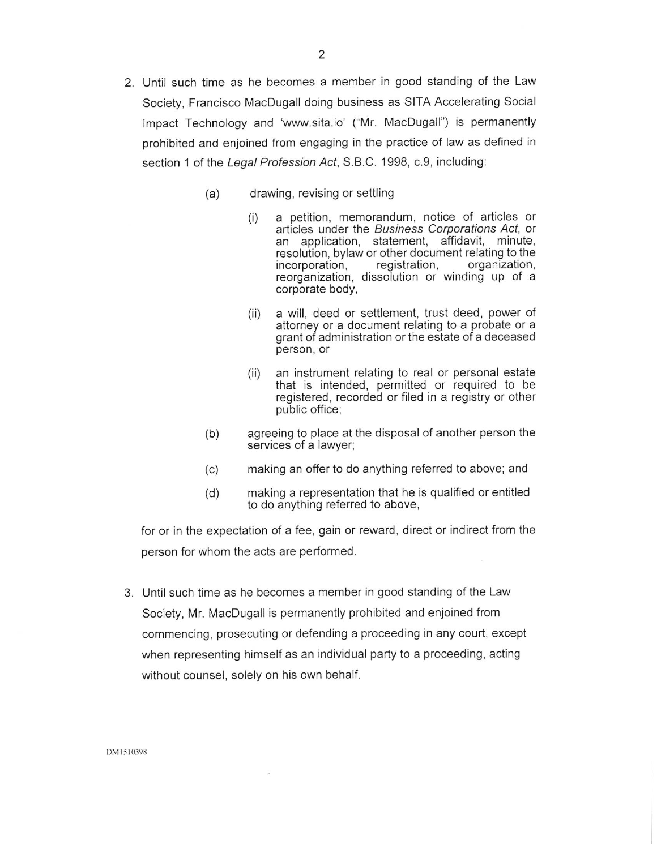- 2. Until such time as he becomes a member in good standing of the Law Society, Francisco MacDugall doing business as SITA Accelerating Social Impact Technology and 'www.sita.io' ("Mr. MacDugall") is permanently prohibited and enjoined from engaging in the practice of law as defined in section 1 of the *Legal Profession Act,* S.B.C. 1998, c.9, including:
	- drawing, revising or settling (a)
		- (i) a petition, memorandum, notice of articles or articles under the *Business Corporations Act,* or an application, statement, affidavit, minute, resolution, bylaw or other document relating to the incorporation, registration, organization, reorganization, dissolution or winding up of <sup>a</sup> corporate body,
		- (ii) a will, deed or settlement, trust deed, power of attorney or a document relating to a probate or <sup>a</sup> grant of administration or the estate of a deceased person, or
		- (ii) an instrument relating to real or personal estate that is intended, permitted or required to be registered, recorded or filed in a registry or other public office;
	- agreeing to place at the disposal of another person the services of a lawyer; (b)
	- making an offer to do anything referred to above; and (c)
	- making a representation that he is qualified or entitled to do anything referred to above, (d)

for or in the expectation of a fee, gain or reward, direct or indirect from the person for whom the acts are performed.

3. Until such time as he becomes a member in good standing of the Law Society, Mr. MacDugall is permanently prohibited and enjoined from commencing, prosecuting or defending a proceeding in any court, except when representing himself as an individual party to a proceeding, acting without counsel, solely on his own behalf.

DM 1510398